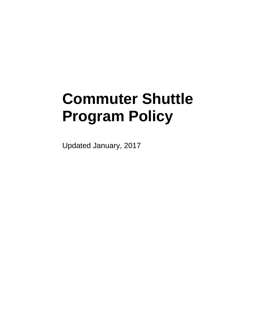# **Commuter Shuttle Program Policy**

Updated January, 2017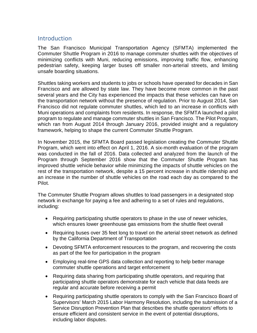## **Introduction**

The San Francisco Municipal Transportation Agency (SFMTA) implemented the Commuter Shuttle Program in 2016 to manage commuter shuttles with the objectives of minimizing conflicts with Muni, reducing emissions, improving traffic flow, enhancing pedestrian safety, keeping larger buses off smaller non-arterial streets, and limiting unsafe boarding situations.

Shuttles taking workers and students to jobs or schools have operated for decades in San Francisco and are allowed by state law. They have become more common in the past several years and the City has experienced the impacts that these vehicles can have on the transportation network without the presence of regulation. Prior to August 2014, San Francisco did not regulate commuter shuttles, which led to an increase in conflicts with Muni operations and complaints from residents. In response, the SFMTA launched a pilot program to regulate and manage commuter shuttles in San Francisco. The Pilot Program, which ran from August 2014 through January 2016, provided insight and a regulatory framework, helping to shape the current Commuter Shuttle Program.

In November 2015, the SFMTA Board passed legislation creating the Commuter Shuttle Program, which went into effect on April 1, 2016. A six-month evaluation of the program was conducted in the fall of 2016. Data collected and analyzed from the launch of the Program through September 2016 show that the Commuter Shuttle Program has improved shuttle vehicle behavior while minimizing the impacts of shuttle vehicles on the rest of the transportation network, despite a 15 percent increase in shuttle ridership and an increase in the number of shuttle vehicles on the road each day as compared to the Pilot.

The Commuter Shuttle Program allows shuttles to load passengers in a designated stop network in exchange for paying a fee and adhering to a set of rules and regulations, including:

- Requiring participating shuttle operators to phase in the use of newer vehicles, which ensures lower greenhouse gas emissions from the shuttle fleet overall
- Requiring buses over 35 feet long to travel on the arterial street network as defined by the California Department of Transportation
- Devoting SFMTA enforcement resources to the program, and recovering the costs as part of the fee for participation in the program
- Employing real-time GPS data collection and reporting to help better manage commuter shuttle operations and target enforcement
- Requiring data sharing from participating shuttle operators, and requiring that participating shuttle operators demonstrate for each vehicle that data feeds are regular and accurate before receiving a permit
- Requiring participating shuttle operators to comply with the San Francisco Board of Supervisors' March 2015 Labor Harmony Resolution, including the submission of a Service Disruption Prevention Plan that describes the shuttle operators' efforts to ensure efficient and consistent service in the event of potential disruptions, including labor disputes.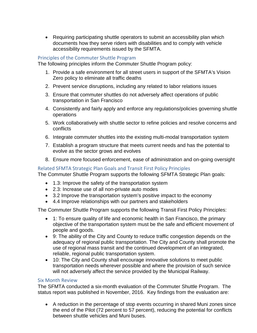• Requiring participating shuttle operators to submit an accessibility plan which documents how they serve riders with disabilities and to comply with vehicle accessibility requirements issued by the SFMTA.

#### Principles of the Commuter Shuttle Program

The following principles inform the Commuter Shuttle Program policy:

- 1. Provide a safe environment for all street users in support of the SFMTA's Vision Zero policy to eliminate all traffic deaths
- 2. Prevent service disruptions, including any related to labor relations issues
- 3. Ensure that commuter shuttles do not adversely affect operations of public transportation in San Francisco
- 4. Consistently and fairly apply and enforce any regulations/policies governing shuttle operations
- 5. Work collaboratively with shuttle sector to refine policies and resolve concerns and conflicts
- 6. Integrate commuter shuttles into the existing multi-modal transportation system
- 7. Establish a program structure that meets current needs and has the potential to evolve as the sector grows and evolves
- 8. Ensure more focused enforcement, ease of administration and on-going oversight

## Related SFMTA Strategic Plan Goals and Transit First Policy Principles

The Commuter Shuttle Program supports the following SFMTA Strategic Plan goals:

- 1.3: Improve the safety of the transportation system
- 2.3: Increase use of all non-private auto modes
- 3.2 Improve the transportation system's positive impact to the economy
- 4.4 Improve relationships with our partners and stakeholders

The Commuter Shuttle Program supports the following Transit First Policy Principles:

- 1: To ensure quality of life and economic health in San Francisco, the primary objective of the transportation system must be the safe and efficient movement of people and goods.
- 9: The ability of the City and County to reduce traffic congestion depends on the adequacy of regional public transportation. The City and County shall promote the use of regional mass transit and the continued development of an integrated, reliable, regional public transportation system.
- 10: The City and County shall encourage innovative solutions to meet public transportation needs wherever possible and where the provision of such service will not adversely affect the service provided by the Municipal Railway.

#### Six Month Review

The SFMTA conducted a six-month evaluation of the Commuter Shuttle Program. The status report was published in November, 2016. Key findings from the evaluation are:

• A reduction in the percentage of stop events occurring in shared Muni zones since the end of the Pilot (72 percent to 57 percent), reducing the potential for conflicts between shuttle vehicles and Muni buses.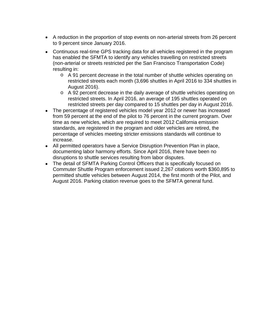- A reduction in the proportion of stop events on non-arterial streets from 26 percent to 9 percent since January 2016.
- Continuous real-time GPS tracking data for all vehicles registered in the program has enabled the SFMTA to identify any vehicles travelling on restricted streets (non-arterial or streets restricted per the San Francisco Transportation Code) resulting in:
	- o A 91 percent decrease in the total number of shuttle vehicles operating on restricted streets each month (3,696 shuttles in April 2016 to 334 shuttles in August 2016).
	- o A 92 percent decrease in the daily average of shuttle vehicles operating on restricted streets. In April 2016, an average of 195 shuttles operated on restricted streets per day compared to 15 shuttles per day in August 2016.
- The percentage of registered vehicles model year 2012 or newer has increased from 59 percent at the end of the pilot to 76 percent in the current program. Over time as new vehicles, which are required to meet 2012 California emission standards, are registered in the program and older vehicles are retired, the percentage of vehicles meeting stricter emissions standards will continue to increase.
- All permitted operators have a Service Disruption Prevention Plan in place, documenting labor harmony efforts. Since April 2016, there have been no disruptions to shuttle services resulting from labor disputes.
- The detail of SFMTA Parking Control Officers that is specifically focused on Commuter Shuttle Program enforcement issued 2,267 citations worth \$360,895 to permitted shuttle vehicles between August 2014, the first month of the Pilot, and August 2016. Parking citation revenue goes to the SFMTA general fund.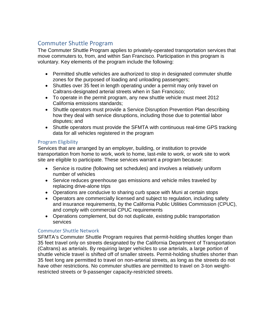# Commuter Shuttle Program

The Commuter Shuttle Program applies to privately-operated transportation services that move commuters to, from, and within San Francisco. Participation in this program is voluntary. Key elements of the program include the following:

- Permitted shuttle vehicles are authorized to stop in designated commuter shuttle zones for the purposed of loading and unloading passengers;
- Shuttles over 35 feet in length operating under a permit may only travel on Caltrans-designated arterial streets when in San Francisco;
- To operate in the permit program, any new shuttle vehicle must meet 2012 California emissions standards;
- Shuttle operators must provide a Service Disruption Prevention Plan describing how they deal with service disruptions, including those due to potential labor disputes; and
- Shuttle operators must provide the SFMTA with continuous real-time GPS tracking data for all vehicles registered in the program

## Program Eligibility

Services that are arranged by an employer, building, or institution to provide transportation from home to work, work to home, last-mile to work, or work site to work site are eligible to participate. These services warrant a program because:

- Service is routine (following set schedules) and involves a relatively uniform number of vehicles
- Service reduces greenhouse gas emissions and vehicle miles traveled by replacing drive-alone trips
- Operations are conducive to sharing curb space with Muni at certain stops
- Operators are commercially licensed and subject to regulation, including safety and insurance requirements, by the California Public Utilities Commission (CPUC), and comply with commercial CPUC requirements
- Operations complement, but do not duplicate, existing public transportation services

#### Commuter Shuttle Network

SFMTA's Commuter Shuttle Program requires that permit-holding shuttles longer than 35 feet travel only on streets designated by the California Department of Transportation (Caltrans) as arterials. By requiring larger vehicles to use arterials, a large portion of shuttle vehicle travel is shifted off of smaller streets. Permit-holding shuttles shorter than 35 feet long are permitted to travel on non-arterial streets, as long as the streets do not have other restrictions. No commuter shuttles are permitted to travel on 3-ton weightrestricted streets or 9-passenger capacity-restricted streets.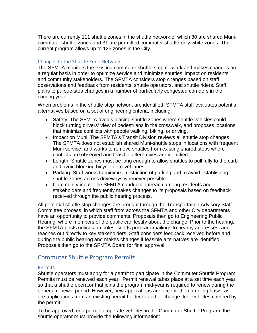There are currently 111 shuttle zones in the shuttle network of which 80 are shared Municommuter shuttle zones and 31 are permitted commuter shuttle-only white zones. The current program allows up to 125 zones in the City.

#### Changes to the Shuttle Zone Network

The SFMTA monitors the existing commuter shuttle stop network and makes changes on a regular basis in order to optimize service and minimize shuttles' impact on residents and community stakeholders. The SFMTA considers stop changes based on staff observations and feedback from residents, shuttle operators, and shuttle riders. Staff plans to pursue stop changes in a number of particularly congested corridors in the coming year.

When problems in the shuttle stop network are identified, SFMTA staff evaluates potential alternatives based on a set of engineering criteria, including:

- Safety: The SFMTA avoids placing shuttle zones where shuttle vehicles could block turning drivers' view of pedestrians in the crosswalk, and proposes locations that minimize conflicts with people walking, biking, or driving.
- Impact on Muni: The SFMTA's Transit Division reviews all shuttle stop changes. The SFMTA does not establish shared Muni-shuttle stops in locations with frequent Muni service, and works to remove shuttles from existing shared stops where conflicts are observed and feasible alternatives are identified.
- Length: Shuttle zones must be long enough to allow shuttles to pull fully to the curb and avoid blocking bicycle or travel lanes.
- Parking: Staff works to minimize restriction of parking and to avoid establishing shuttle zones across driveways whenever possible.
- Community input: The SFMTA conducts outreach among residents and stakeholders and frequently makes changes to its proposals based on feedback received through the public hearing process.

All potential shuttle stop changes are brought through the Transportation Advisory Staff Committee process, in which staff from across the SFMTA and other City departments have an opportunity to provide comments. Proposals then go to Engineering Public Hearing, where members of the public can testify about the change. Prior to the hearing, the SFMTA posts notices on poles, sends postcard mailings to nearby addresses, and reaches out directly to key stakeholders. Staff considers feedback received before and during the public hearing and makes changes if feasible alternatives are identified. Proposals then go to the SFMTA Board for final approval.

## Commuter Shuttle Program Permits

#### Permits

Shuttle operators must apply for a permit to participate in the Commuter Shuttle Program. Permits must be renewed each year. Permit renewal takes place at a set time each year, so that a shuttle operator that joins the program mid-year is required to renew during the general renewal period. However, new applications are accepted on a rolling basis, as are applications from an existing permit holder to add or change fleet vehicles covered by the permit.

To be approved for a permit to operate vehicles in the Commuter Shuttle Program, the shuttle operator must provide the following information: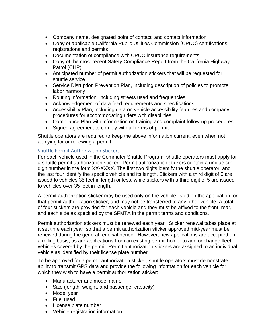- Company name, designated point of contact, and contact information
- Copy of applicable California Public Utilities Commission (CPUC) certifications, registrations and permits
- Documentation of compliance with CPUC insurance requirements
- Copy of the most recent Safety Compliance Report from the California Highway Patrol (CHP)
- Anticipated number of permit authorization stickers that will be requested for shuttle service
- Service Disruption Prevention Plan, including description of policies to promote labor harmony
- Routing information, including streets used and frequencies
- Acknowledgement of data feed requirements and specifications
- Accessibility Plan, including data on vehicle accessibility features and company procedures for accommodating riders with disabilities
- Compliance Plan with information on training and complaint follow-up procedures
- Signed agreement to comply with all terms of permit

Shuttle operators are required to keep the above information current, even when not applying for or renewing a permit.

#### Shuttle Permit Authorization Stickers

For each vehicle used in the Commuter Shuttle Program, shuttle operators must apply for a shuttle permit authorization sticker. Permit authorization stickers contain a unique sixdigit number in the form XX-XXXX. The first two digits identify the shuttle operator, and the last four identify the specific vehicle and its length. Stickers with a third digit of 0 are issued to vehicles 35 feet in length or less, while stickers with a third digit of 5 are issued to vehicles over 35 feet in length.

A permit authorization sticker may be used only on the vehicle listed on the application for that permit authorization sticker, and may not be transferred to any other vehicle. A total of four stickers are provided for each vehicle and they must be affixed to the front, rear, and each side as specified by the SFMTA in the permit terms and conditions.

Permit authorization stickers must be renewed each year. Sticker renewal takes place at a set time each year, so that a permit authorization sticker approved mid-year must be renewed during the general renewal period. However, new applications are accepted on a rolling basis, as are applications from an existing permit holder to add or change fleet vehicles covered by the permit. Permit authorization stickers are assigned to an individual vehicle as identified by their license plate number.

To be approved for a permit authorization sticker, shuttle operators must demonstrate ability to transmit GPS data and provide the following information for each vehicle for which they wish to have a permit authorization sticker:

- Manufacturer and model name
- Size (length, weight, and passenger capacity)
- Model year
- Fuel used
- License plate number
- Vehicle registration information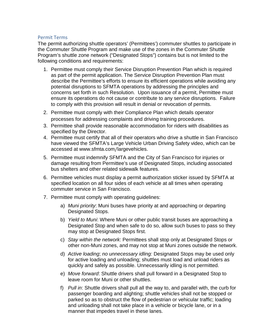#### Permit Terms

The permit authorizing shuttle operators' (Permittees') commuter shuttles to participate in the Commuter Shuttle Program and make use of the zones in the Commuter Shuttle Program's shuttle zone network ("Designated Stops") contains but is not limited to the following conditions and requirements:

- 1. Permittee must comply their Service Disruption Prevention Plan which is required as part of the permit application. The Service Disruption Prevention Plan must describe the Permittee's efforts to ensure its efficient operations while avoiding any potential disruptions to SFMTA operations by addressing the principles and concerns set forth in such Resolution. Upon issuance of a permit, Permittee must ensure its operations do not cause or contribute to any service disruptions. Failure to comply with this provision will result in denial or revocation of permits.
- 2. Permittee must comply with their Compliance Plan which details operator processes for addressing complaints and driving training procedures.
- 3. Permittee shall provide reasonable accommodation for riders with disabilities as specified by the Director.
- 4. Permittee must certify that all of their operators who drive a shuttle in San Francisco have viewed the SFMTA's Large Vehicle Urban Driving Safety video, which can be accessed at www.sfmta.com/largevehicles.
- 5. Permittee must indemnify SFMTA and the City of San Francisco for injuries or damage resulting from Permittee's use of Designated Stops, including associated bus shelters and other related sidewalk features.
- 6. Permittee vehicles must display a permit authorization sticker issued by SFMTA at specified location on all four sides of each vehicle at all times when operating commuter service in San Francisco.
- 7. Permittee must comply with operating guidelines:
	- a) *Muni priority*: Muni buses have priority at and approaching or departing Designated Stops.
	- b) *Yield to Muni*: Where Muni or other public transit buses are approaching a Designated Stop and when safe to do so, allow such buses to pass so they may stop at Designated Stops first.
	- c) *Stay within the network*: Permittees shall stop only at Designated Stops or other non-Muni zones, and may not stop at Muni zones outside the network.
	- d) *Active loading*; *no unnecessary idling:* Designated Stops may be used only for active loading and unloading; shuttles must load and unload riders as quickly and safely as possible. Unnecessarily idling is not permitted.
	- e) *Move forward*: Shuttle drivers shall pull forward in a Designated Stop to leave room for Muni or other shuttles.
	- f) *Pull in*: Shuttle drivers shall pull all the way to, and parallel with, the curb for passenger boarding and alighting; shuttle vehicles shall not be stopped or parked so as to obstruct the flow of pedestrian or vehicular traffic; loading and unloading shall not take place in a vehicle or bicycle lane, or in a manner that impedes travel in these lanes.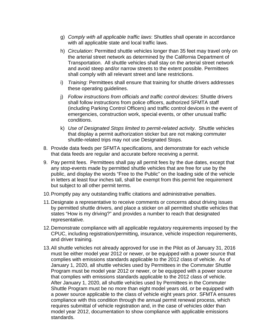- g) *Comply with all applicable traffic laws*: Shuttles shall operate in accordance with all applicable state and local traffic laws.
- h) *Circulation*: Permitted shuttle vehicles longer than 35 feet may travel only on the arterial street network as determined by the California Department of Transportation. All shuttle vehicles shall stay on the arterial street network and avoid steep and/or narrow streets to the extent possible. Permittees shall comply with all relevant street and lane restrictions.
- i) *Training*: Permittees shall ensure that training for shuttle drivers addresses these operating guidelines.
- j) *Follow instructions from officials and traffic control devices:* Shuttle drivers shall follow instructions from police officers, authorized SFMTA staff (including Parking Control Officers) and traffic control devices in the event of emergencies, construction work, special events, or other unusual traffic conditions.
- k) *Use of Designated Stops limited to permit-related activity*. Shuttle vehicles that display a permit authorization sticker but are not making commuter shuttle-related trips may not use Designated Stops.
- 8. Provide data feeds per SFMTA specifications, and demonstrate for each vehicle that data feeds are regular and accurate before receiving a permit.
- 9. Pay permit fees. Permittees shall pay all permit fees by the due dates, except that any stop-events made by permitted shuttle vehicles that are free for use by the public, and display the words "Free to the Public" on the loading side of the vehicle in letters at least four inches tall, shall be exempt from this permit fee requirement but subject to all other permit terms.
- 10.Promptly pay any outstanding traffic citations and administrative penalties.
- 11.Designate a representative to receive comments or concerns about driving issues by permitted shuttle drivers, and place a sticker on all permitted shuttle vehicles that states "How is my driving?" and provides a number to reach that designated representative.
- 12.Demonstrate compliance with all applicable regulatory requirements imposed by the CPUC, including registration/permitting, insurance, vehicle inspection requirements, and driver training.
- 13.All shuttle vehicles not already approved for use in the Pilot as of January 31, 2016 must be either model year 2012 or newer, or be equipped with a power source that complies with emissions standards applicable to the 2012 class of vehicle. As of January 1, 2020, all shuttle vehicles used by Permittees in the Commuter Shuttle Program must be model year 2012 or newer, or be equipped with a power source that complies with emissions standards applicable to the 2012 class of vehicle. After January 1, 2020, all shuttle vehicles used by Permittees in the Commuter Shuttle Program must be no more than eight model years old, or be equipped with a power source applicable to the class of vehicle eight years prior. SFMTA ensures compliance with this condition through the annual permit renewal process, which requires submittal of vehicle registration and, in the case of vehicles older than model year 2012, documentation to show compliance with applicable emissions standards.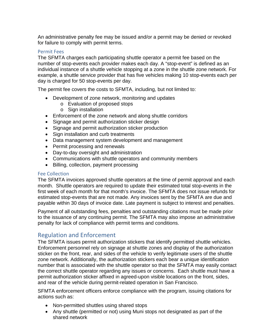An administrative penalty fee may be issued and/or a permit may be denied or revoked for failure to comply with permit terms.

#### Permit Fees

The SFMTA charges each participating shuttle operator a permit fee based on the number of stop-events each provider makes each day. A "stop-event" is defined as an individual instance of a shuttle vehicle stopping at a zone in the shuttle zone network. For example, a shuttle service provider that has five vehicles making 10 stop-events each per day is charged for 50 stop-events per day.

The permit fee covers the costs to SFMTA, including, but not limited to:

- Development of zone network, monitoring and updates
	- o Evaluation of proposed stops
	- $\circ$  Sign installation
- Enforcement of the zone network and along shuttle corridors
- Signage and permit authorization sticker design
- Signage and permit authorization sticker production
- Sign installation and curb treatments
- Data management system development and management
- Permit processing and renewals
- Day-to-day oversight and administration
- Communications with shuttle operators and community members
- Billing, collection, payment processing

#### Fee Collection

The SFMTA invoices approved shuttle operators at the time of permit approval and each month. Shuttle operators are required to update their estimated total stop-events in the first week of each month for that month's invoice. The SFMTA does not issue refunds for estimated stop-events that are not made. Any invoices sent by the SFMTA are due and payable within 30 days of invoice date. Late payment is subject to interest and penalties.

Payment of all outstanding fees, penalties and outstanding citations must be made prior to the issuance of any continuing permit. The SFMTA may also impose an administrative penalty for lack of compliance with permit terms and conditions.

## Regulation and Enforcement

The SFMTA issues permit authorization stickers that identify permitted shuttle vehicles. Enforcement personnel rely on signage at shuttle zones and display of the authorization sticker on the front, rear, and sides of the vehicle to verify legitimate users of the shuttle zone network. Additionally, the authorization stickers each bear a unique identification number that is associated with the shuttle operator so that the SFMTA may easily contact the correct shuttle operator regarding any issues or concerns. Each shuttle must have a permit authorization sticker affixed in agreed-upon visible locations on the front, sides, and rear of the vehicle during permit-related operation in San Francisco.

SFMTA enforcement officers enforce compliance with the program, issuing citations for actions such as:

- Non-permitted shuttles using shared stops
- Any shuttle (permitted or not) using Muni stops not designated as part of the shared network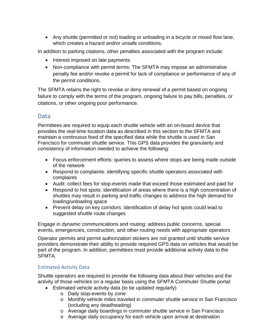• Any shuttle (permitted or not) loading or unloading in a bicycle or mixed flow lane, which creates a hazard and/or unsafe conditions.

In addition to parking citations, other penalties associated with the program include:

- Interest imposed on late payments.
- Non-compliance with permit terms: The SFMTA may impose an administrative penalty fee and/or revoke a permit for lack of compliance or performance of any of the permit conditions.

The SFMTA retains the right to revoke or deny renewal of a permit based on ongoing failure to comply with the terms of the program, ongoing failure to pay bills, penalties, or citations, or other ongoing poor performance.

## Data

Permittees are required to equip each shuttle vehicle with an on-board device that provides the real-time location data as described in this section to the SFMTA and maintain a continuous feed of the specified data while the shuttle is used in San Francisco for commuter shuttle service. This GPS data provides the granularity and consistency of information needed to achieve the following:

- Focus enforcement efforts: queries to assess where stops are being made outside of the network
- Respond to complaints: identifying specific shuttle operators associated with complaints
- Audit: collect fees for stop-events made that exceed those estimated and paid for
- Respond to hot spots: identification of areas where there is a high concentration of shuttles may result in parking and traffic changes to address the high demand for loading/unloading space
- Prevent delay on key corridors: identification of delay hot spots could lead to suggested shuttle route changes

Engage in dynamic communications and routing: address public concerns, special events, emergencies, construction, and other routing needs with appropriate operators

Operator permits and permit authorization stickers are not granted until shuttle service providers demonstrate their ability to provide required GPS data on vehicles that would be part of the program. In addition, permittees must provide additional activity data to the SFMTA.

## Estimated Activity Data

Shuttle operators are required to provide the following data about their vehicles and the activity of those vehicles on a regular basis using the SFMTA Commuter Shuttle portal:

- Estimated vehicle activity data (to be updated regularly)
	- o Daily stop-events by zone
	- o Monthly vehicle miles traveled in commuter shuttle service in San Francisco (including any deadheading)
	- o Average daily boardings in commuter shuttle service in San Francisco
	- o Average daily occupancy for each vehicle upon arrival at destination